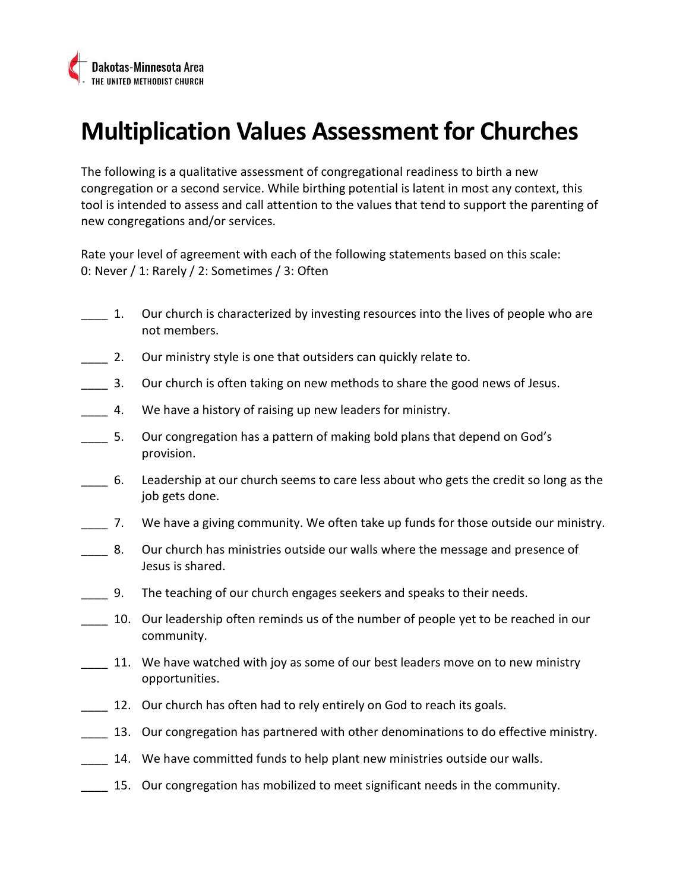

# Multiplication Values Assessment for Churches

The following is a qualitative assessment of congregational readiness to birth a new congregation or a second service. While birthing potential is latent in most any context, this tool is intended to assess and call attention to the values that tend to support the parenting of new congregations and/or services.

Rate your level of agreement with each of the following statements based on this scale: 0: Never / 1: Rarely / 2: Sometimes / 3: Often

- \_\_\_\_ 1. Our church is characterized by investing resources into the lives of people who are not members.
- 2. Our ministry style is one that outsiders can quickly relate to.
- **\_\_\_\_** 3. Our church is often taking on new methods to share the good news of Jesus.
- 4. We have a history of raising up new leaders for ministry.
- \_\_\_\_ 5. Our congregation has a pattern of making bold plans that depend on God's provision.
- \_\_\_\_ 6. Leadership at our church seems to care less about who gets the credit so long as the job gets done.
- \_\_\_\_ 7. We have a giving community. We often take up funds for those outside our ministry.
- **2. 2. Our church has ministries outside our walls where the message and presence of** Jesus is shared.
- **2. The teaching of our church engages seekers and speaks to their needs.**
- \_\_\_\_ 10. Our leadership often reminds us of the number of people yet to be reached in our community.
	- 11. We have watched with joy as some of our best leaders move on to new ministry opportunities.
- 12. Our church has often had to rely entirely on God to reach its goals.
- **\_\_\_\_** 13. Our congregation has partnered with other denominations to do effective ministry.
- 14. We have committed funds to help plant new ministries outside our walls.
- 15. Our congregation has mobilized to meet significant needs in the community.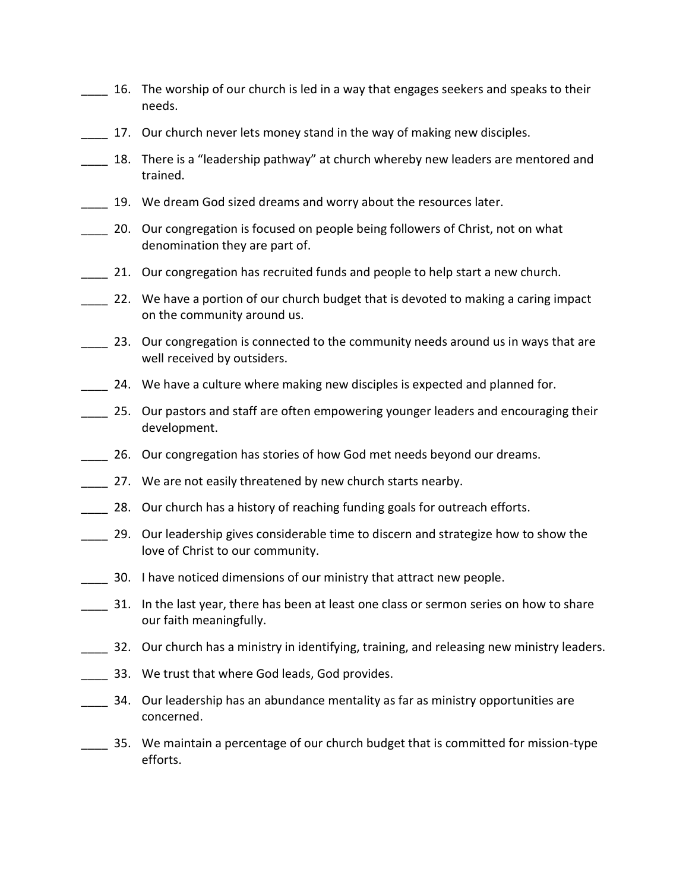- 16. The worship of our church is led in a way that engages seekers and speaks to their needs.
- 17. Our church never lets money stand in the way of making new disciples.
- 18. There is a "leadership pathway" at church whereby new leaders are mentored and trained.
- 19. We dream God sized dreams and worry about the resources later.
- 20. Our congregation is focused on people being followers of Christ, not on what denomination they are part of.
	- \_\_\_\_ 21. Our congregation has recruited funds and people to help start a new church.
- \_\_\_\_ 22. We have a portion of our church budget that is devoted to making a caring impact on the community around us.
- 23. Our congregation is connected to the community needs around us in ways that are well received by outsiders.
- 24. We have a culture where making new disciples is expected and planned for.
- \_\_\_\_ 25. Our pastors and staff are often empowering younger leaders and encouraging their development.
- \_\_\_\_ 26. Our congregation has stories of how God met needs beyond our dreams.
- 27. We are not easily threatened by new church starts nearby.
- 28. Our church has a history of reaching funding goals for outreach efforts.
- \_\_\_\_ 29. Our leadership gives considerable time to discern and strategize how to show the love of Christ to our community.
- \_\_\_\_ 30. I have noticed dimensions of our ministry that attract new people.
- \_\_\_\_ 31. In the last year, there has been at least one class or sermon series on how to share our faith meaningfully.
- 32. Our church has a ministry in identifying, training, and releasing new ministry leaders.
- 133. We trust that where God leads, God provides.
- \_\_\_\_ 34. Our leadership has an abundance mentality as far as ministry opportunities are concerned.
- \_\_\_\_ 35. We maintain a percentage of our church budget that is committed for mission-type efforts.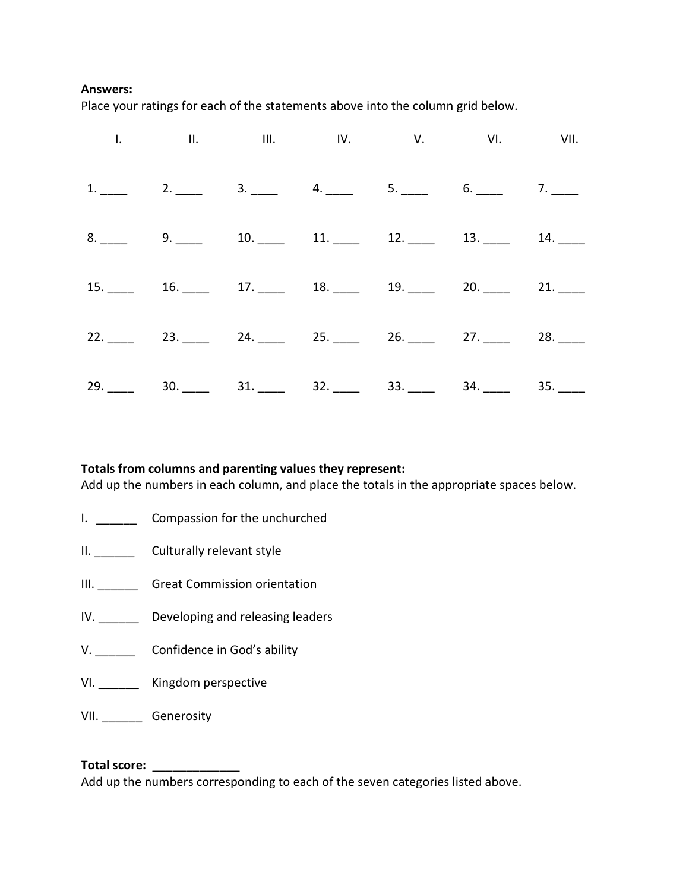#### Answers:

Place your ratings for each of the statements above into the column grid below.

|  | 1. 11. 11. 11. 1V. V. VI. VII. VII.                                                             |  |  |
|--|-------------------------------------------------------------------------------------------------|--|--|
|  | 1. 2. 3. 4. 5. 5. 6. 7.                                                                         |  |  |
|  | 8. $\frac{9}{2}$ 9. $\frac{10}{2}$ 10. $\frac{11}{2}$ 12. $\frac{12}{2}$ 13. $\frac{13}{2}$ 14. |  |  |
|  | $15.$ 16. 17. 18. 18. 19. 20. 21.                                                               |  |  |
|  | $22.$ 23. 24. 24. 25. 26. 26. 27. 28.                                                           |  |  |
|  | $29.$ 30. 31. 31. 32. 33. 34. 34. 35.                                                           |  |  |

### Totals from columns and parenting values they represent:

Add up the numbers in each column, and place the totals in the appropriate spaces below.

- I. Compassion for the unchurched
- II. Culturally relevant style
- III. \_\_\_\_\_\_\_\_\_ Great Commission orientation
- IV. Developing and releasing leaders
- V. Confidence in God's ability
- VI. \_\_\_\_\_\_ Kingdom perspective
- VII. \_\_\_\_\_\_ Generosity

### Total score:  $\blacksquare$

Add up the numbers corresponding to each of the seven categories listed above.